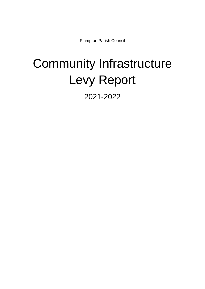Plumpton Parish Council

## Community Infrastructure Levy Report

2021-2022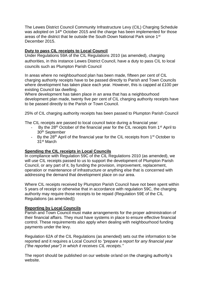The Lewes District Council Community Infrastructure Levy (CIL) Charging Schedule was adopted on 14<sup>th</sup> October 2015 and the charge has been implemented for those areas of the district that lie outside the South Down National Park since 1st December 2015.

## **Duty to pass CIL receipts to Local Council**

Under Regulations 59A of the CIL Regulations 2010 (as amended), charging authorities, in this instance Lewes District Council, have a duty to pass CIL to local councils such as Plumpton Parish Council

In areas where no neighbourhood plan has been made, fifteen per cent of CIL charging authority receipts have to be passed directly to Parish and Town Councils where development has taken place each year. However, this is capped at £100 per existing Council tax dwelling.

Where development has taken place in an area that has a neighbourhood development plan made, twenty five per cent of CIL charging authority receipts have to be passed directly to the Parish or Town Council.

25% of CIL charging authority receipts has been passed to Plumpton Parish Council

The CIL receipts are passed to local council twice during a financial year:

- By the 28<sup>th</sup> October of the financial year for the CIL receipts from 1<sup>st</sup> April to 30th September
- By the  $28<sup>th</sup>$  April of the financial year for the CIL receipts from 1<sup>st</sup> October to 31st March

## **Spending the CIL receipts in Local Councils**

In compliance with Regulation 59C of the CIL Regulations 2010 (as amended), we will use CIL receipts passed to us to support the development of Plumpton Parish Council, or any part of it, by funding the provision, improvement, replacement, operation or maintenance of infrastructure or anything else that is concerned with addressing the demand that development place on our area.

Where CIL receipts received by Plumpton Parish Council have not been spent within 5 years of receipt or otherwise that in accordance with regulation 59C, the charging authority may require those receipts to be repaid (Regulation 59E of the CIL Regulations (as amended))

## **Reporting by Local Councils**

Parish and Town Council must make arrangements for the proper administration of their financial affairs. They must have systems in place to ensure effective financial control. These requirements also apply when dealing with neighbourhood funding payments under the levy.

Regulation 62A of the CIL Regulations (as amended) sets out the information to be reported and it requires a Local Council to *"prepare a report for any financial year ("the reported year") in which it receives CIL receipts."*

The report should be published on our website or/and on the charging authority's website.